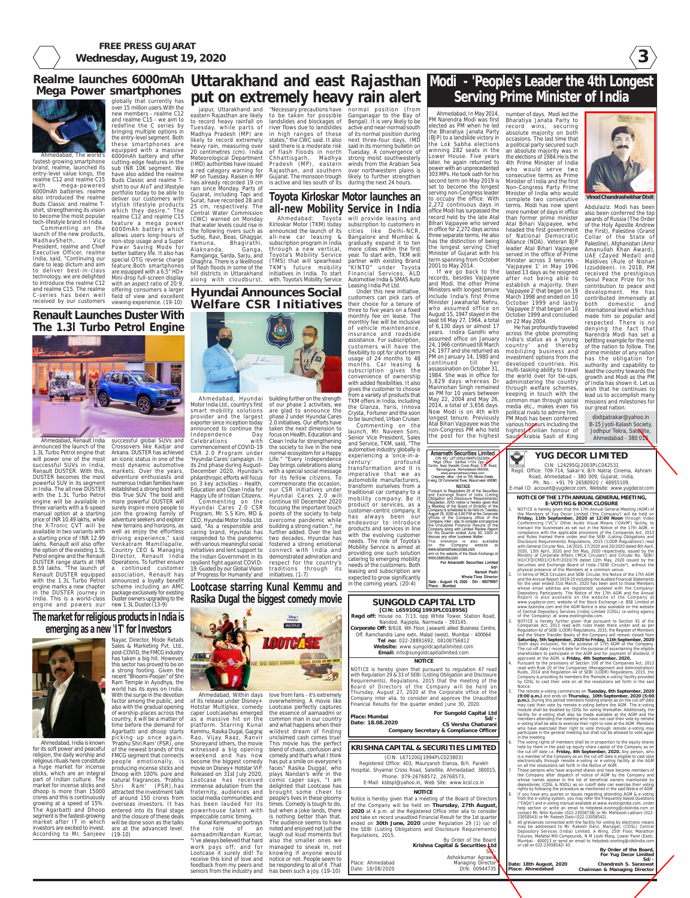**3**



**FREE PRESS GUJARAT Wednesday, August 19, 2020**

> **By Order of the Board, For Yug Decor Limited**

**Sd/- Chandresh S. Saraswat Chairman & Managing Director**

#### **Date: 18th August, 2020 Place: Ahmedabad**

Conferencing ('VC')/ Other Audio Visual Means ('OAVM') facility, to transact the businesses as set out in the Notice of the 17th AGM, compliance with the applicable provisions of the Companies Act, 2013 and Rules framed there under and the SEBI (Listing Obligations and Disclosure Requirements) Regulations, 2015 ('LODR Regulations') read with General Circular Nos. 14/2020, 17/2020 and 20/2020 dated 8th April, 2020, 13th April, 2020 and 5th May, 2020 respectively, issued by the Ministry of Corporate Affairs ('MCA Circulars') and Circular No. SEBI/ HO/CFD/CMD1/CIR/P/2020/79 dated 12th May, 2020 issued by the Securities and Exchange Board of India ('SEBI Circular'), without the physical presence of the Members at a common venue.

2. In terms of MCA Circulars and SEBI Circular, the Notice of the 17th AGM and the Annual Report 2019-20 including the Audited Financial Statements for the year ended 31st March, 2020 has been sent to those Members whose email address are registered/ updated with the Company/ Depository Participants. The Notice of the 17th AGM and the Annual Report is also available on the website of the Company at www.yugdecor.com, website of the Stock Exchange i.e. BSE Limited at www.bseindia.com and the AGM Notice is also available on the website of Central Depository Services (India) Limited (CDSL) (e-voting agency of the Company) at www.evotingindia.com.

3. NOTICE is hereby further given that pursuant to Section 91 of the Companies Act, 2013 read with rules made there under and as per Regulation 42 of SEBI (LODR) Regulations, 2015, the Register of Members and the Share Transfer Books of the Company will remain closed from **Saturday, 5th September, 2020 to Friday, 11th September, 2020** (both days inclusive), for the purpose of 17th AGM of the Company. The cut-off date / record date for the purpose of ascertaining the eligible shareholders to participate in the AGM and for payment of dividend, if approved at the AGM, is **Friday, 4th September, 2020.**

Those persons who have acquired shares and have become members of the Company after dispatch of notice of AGM by the Company and whose names appear in the list of beneficial owners maintained by depositories (CDSL & NSDL) as on cutoff date can exercise their voting rights by following the procedure as mentioned in the said Notice of AGM. If you have any queries or issues regarding attending AGM & e-voting  $\tilde{\mathsf{f}}$ m the e-voting system, you may refer the Frequently Asked Questions ("FAQs") and e-voting manual available at www.evotingindia.com, under help section or write an email to helpdesk.evoting@cdslindia.com or contact Mr. Nitin Kunder (022-23058738) or Mr. Mehboob Lakhani (022- 23058543) or Mr. Rakesh Dalvi (022-23058542).

All grievances connected with the facility for voting by electronic means may be addressed to Mr. Rakesh Dalvi, Manager, (CDSL) Central Depository Services (India) Limited, A Wing, 25th Floor, Marathon Futurex, Mafatlal Mill Compounds, N M Joshi Marg, Lower Parel (East), Mumbai - 400013 or send an email to helpdesk.evoting@cdslindia.com or call on 022-23058542/ 43.

4. Pursuant to the provisions of Section 108 of the Companies Act, 2013 read with Rule 20 of the Companies (Management and Administration) Rules, 2014 and Regulation 44 of SEBI (LODR) Regulations, 2015, the Company is providing its members the 'Remote e-voting' facility provided by CDSL to cast their vote on all the resolutions set forth in the said Notice.

**Lootcase starring Kunal Kemmu and Rasika Dugal the biggest comedy movie** manual option at a starting join the growing family of Program, Mr. S.S Kim, MD & points of the society to help the X-Tronic CVT will be new terrains and horizons, as said, "As a responsible and building a strong nation.", he Commenting on the continue till December 2020 Hyundai Cares 2.0 CSR focusing the important touch CEO, Hyundai Motor India Ltd. caring brand, Hyundai has further added. Over the last responded to the pandemic two decades, Hyundai has with various meaningful social fostered a strong emotional initiatives and lent support to connect with India and the Indian Government in its demonstrated admiration and resilient fight against COVID- respect for the country's 19. Guided by our Global Vision traditions through its of 'Progress for Humanity' and initiatives. (1-7) overcome pandemic while

> 5. The remote e-voting commences on **Tuesday, 8th September, 2020 (9:00 a.m.)** and ends on **Thursday, 10th September, 2020 (5:00 p.m.).** During this period members holding shares as on the cut-off date may cast their vote by remote e-voting before the AGM. The e-voting module shall be disabled by CDSL for voting thereafter. Additionally, the facility for e-voting shall also be made available at the AGM and the members attending the meeting who have not cast their vote by remote e-voting shall be able to exercise their right to vote at the AGM. Members who have exercised their right to vote through remote e-voting may participate in the general meeting but shall not be allowed to vote again in the meeting.

caper Lootcasehas emerged the essence of aamaadmi or weekend and has now comedy and that's what I think powerhouse talent with but when a joke lands, there work pays off; and for managed to sneak in, not Lootcase it surely did! To knowing if anyone would receive this kind of love and notice or not. People seem to feedback from my peers and be responding to all of it .That seniors from the industry and has been such a joy. (19-10) Lootcase perfectly captures common man in our country and what happens when their wildest dream of finding unclaimed cash comes true! This movie has the perfect blend of chaos, confusion and has put a smile on everyone's faces" Rasika Duggal, who plays Nandan's wife in the comic caper says, "I am delighted that Lootcase has brought some cheer to people's lives in these gloomy times. Comedy is tough to do, is nothing better than that. The audience seems to have an noted and enjoyed not just the laugh out loud moments but also the smaller ones we

ompany. Inter - alia, to consider and approve<br>ie Unaudited Financial Results of the no contained with Limited Review Beport<br>or the Quarter ended June 30, 2020 or<br>discuss any other business Matter. This intimation is also available<br>on the Company website at<br>www.amarnathsecurities.com and on the website of the Stock Exchange a www.bseindia.com For Amarnath Securities Limited

Sd/ Naresh Padir **Whole-Time Directo** 

**NOTICE** 

Date: August 19, 2020 Din: 08379067<br>Place: Mumbai

6. The voting rights of members shall be in proportion to the equity shares held by them in the paid up equity share capital of the Company as on the cut-off date i.e. **Friday, 4th September, 2020.** Any person, who is a member of the Company as on the cut-off date is eligible to cast vote electronically through remote e-voting or e-voting facility at the AGM on all the resolutions set forth in the Notice of AGM.

## **The market for religious products in India is emerging as a new 'IT' for Investors**



Ashokkumar Agrawa Managing Director DIN: 00944735

Nayar, Director, Mode Retails Sales & Marketing Pvt. Ltd., post-COVID, the FMCG industry has taken a big hit. However, this sector has proved to be on a strong footing. Given the recent "Bhoomi-Poojan" of Shri Ram Temple in Ayodhya, the world has its eyes on India. With the surge in the devotion factor among the public, and also with the gradual opening



Ahmedabad, India is known for its soft power and peaceful religion, the daily worship and religious rituals here constitute a huge market for incense sticks, which are an integral part of Indian culture. The market for incense sticks and dhoop is more than 15000 crores and this is continuously growing at a speed of 15%. The Agarbatti and Dhoop segment is the fastest-growing market after IT in which investors are excited to invest. According to Mr. Sanjeev (19-10)

of worship-places across the country, it will be a matter of time before the demand for Agarbatti and dhoop starts picking up once again. 'Prabhu Shri Ram' (PSR), one of the newest brands of this FMCG segment that connects people emotionally, is producing incense sticks and Dhoop with 100% pure and natural fragrances. 'Prabhu Shri Ram' (PSR),has attracted the investment talk of around 150 crores from overseas investors. It has entered into its final stage and the closure of these deals will be done soon as the talks are at the advanced level.

investment options from the developed countries. His multi-tasking ability to travel the world over for tie-ups, administering the country through welfare schemes, keeping in touch with the common man through social media etc., makes even his political rivals to admire him. PM Modi has been conferred various hopours including the highest civilian honour of

Ahmedabad, Within days love from fans - it's extremely of its release under Disney+ Hotstar Multiplex, comedy as a massive hit on the platform. Starring Kunal Kemmu, Rasika Dugal, Gajgraj Rao, Vijay Raaz, Ranvir Shoreyand others, the movie witnessed a big opening become the biggest comedy movie on Disney + Hotstar VIP. Released on 31st July 2020, Lootcase has received immense adulation from the fraternity, audiences and social media communities and has been lauded for its impeccable comic timing. Kunal Kemmuwho portrays the role of aamaadmiNandan Kumar, "I've always believed that hard overwhelming. A movie like



**Hyundai Announces Social Welfare CSR Initiatives** hill districts in Uttarakhand initiatives in India. To start along with cloudburst. with, Toyota's Mobility Service

### **Renault Launches Duster With The 1.3l Turbo Petrol Engine**

received by our customers viewing experience. (19-10)



equipped with a massive 6000mAh battery and offer cutting-edge features in the sub INR 10K segment. We have also added the realme Buds Classic and realme Tshirt to our AIoT and lifestyle portfolio today to be able to deliver our customers with stylish lifestyle products which they desire." The realme C12 and realme C15 feature a mega power 6000mAh battery which allows users long-hours of non-stop usage and a Super Power Saving Mode for better battery life. It also has special OTG reverse charge feature.Both smartphones are equipped with a 6.5" HD+ Mini-drop full-screen display with an aspect ratio of 20:9, offering consumers a larger field of view and excellent Gujarat, including Tapi and Surat, have recorded 28 and

Ahmedabad, Renault India successful global SUVs and three variants with a 6-speed surely inspire more people to Renault DUSTER equipped association, Renault has in the DUSTER journey in package exclusively for existing India. This is a world-class Duster owners upgrading to the Crossovers like Kadjar and Arkana. DUSTER has achieved an iconic status in one of the most dynamic automotive markets. Over the years, adventure enthusiasts and numerous Indian families have established a strong bond with this True SUV. The bold and more powerful DUSTER will adventure seekers and explore well as enjoy the effortless driving experience," said Venkatram Mamillapalle, Country CEO & Managing Director, Renault India Operations. To further ensure a continued customer announced a loyalty benefit scheme including an AMC

announced the launch of the 1.3L Turbo Petrol engine that will power one of the most successful SUVs in India, Renault DUSTER. With this, DUSTER becomes the most powerful SUV in its segment in India. The all new DUSTER with the 1.3L Turbo Petrol engine will be available in price of  $INR$  10.49 lakhs, while available in two variants with a starting price of INR 12.99 lakhs. Renault will also offer the option of the existing 1.5L Petrol engine and the Renault DUSTER range starts at INR 8.59 lakhs. "The launch of with the 1.3L Turbo Petrol engine marks a new chapter engine and powers our new 1.3L Duster.(13-9)

#### **KRISHNA CAPITAL & SECURITIES LIMITED**

(CIN: L67120GJ1994PLC023803) Registered Office: 403, Mauryansh Elanza, B/h. Parekh Hospital, Shyamal Cross Road, Satellite, Ahmedabad: 380015, Phone: 079-26768572, 26768573, E-Mail: ksbspl@yahoo.in, Web Site: www.kcsl.co.in

#### **NOTICE**

Notice is hereby given that a meeting of the Board of Directors of the Company will be held on **Thursday, 27th August, 2020** at 4 p.m. at the Registered Office inter alia to consider and take on record unaudited Financial Result for the 1st quarter ended on **30th June, 2020** under Regulation 29 (1) (a) of the SEBI (Listing Obligations and Disclosure Requirements) Regulations, 2015.

# Realme launches 6000mAh Uttarakhand and east Rajasthan Modi - 'People's Leader the 4th Longest **put on extremely heavy rain alert**

Place: Ahmedabad Date: 18/08/2020

By Order of the Board **Krishna Capital & Securities Ltd**

Sd/-

# **Serving Prime Minister of India**

**Vinod Chandrashekhar Dixit**

the following rivers such as announced the launch of its cities like Delhi-NCR, all-new car leasing & subscription program in India through a new vertical, Toyota's Mobility Service (TMS) that will spearhead TKM's future mobility 25 cm, respectively. The Central Water Commission (CWC) warned on Monday that water levels could rise in Sutlej, Ravi, Beas, Ghaggar, Yamuna, Bhagirathi, Alaknanda, Ganga, Ramganga, Sarda, Sarju, and Ghaghra. There is a likelihood of flash floods in some of the

Ahmedabad, In May 2014, PM Narendra Modi was first elected as PM when he led the Bharatiya Janata Party (BJP) to a landslide victory in the Lok Sabha elections winning 282 seats in the Lower House. Five years later, he again returned to power with an unprecedented 303 MPs. He took oath for his second term on May 2019 is set to become the longest serving non-Congress leader to occupy the office. With 2,272 continuous days in office Modi has surpassed the record held by the late Atal Bihari Vajpayee who served in office for 2,272 days across three separate terms. He also has the distinction of being the longest serving Chief Minister of Gujarat with his term spanning from October 2001 to May 2014.

If we go back to the records, besides Vajpayee and Modi, the other Prime Ministers with longest tenure include India's first Prime Minister Jawaharlal Nehru, who assumed office on August 15, 1947 stayed in the seat till May 27, 1964, a total of 6,130 days or almost 17 years. Indira Gandhi who assumed office on January 24, 1966 continued till March 24, 1977 and she returned as PM on January 14, 1980 and continued till her assassination on October 31, 1984. She was in office for 5,829 days whereas Dr Manmohan Singh remained as PM for 10 years between May 22, 2004 and May 26, 2014, a total of 3,656 days. Now Modi is on 4th with longest tenure. Previously Atal Bihari Vajpayee was the non-Congress PM who held the post for the highest number of days. Modi led the

Bharatiya Janata Party to record wins, securing absolute majority on both occasions. The last time that a political party secured such an absolute majority was in the elections of 1984.He is the 4th Prime Minister of India who would serve two consecutive terms as Prime Minister of India and the first Non-Congress Party Prime Minister of India who would complete two consecutive terms. Modi has now spent more number of days in office than former prime minister Atal Bihari Vajpayee, who headed the first government of National Democratic Alliance (NDA). Veteran BJP leader Atal Bihari Vajpayee served in the office of Prime Minister across 3 tenures - 'Vajpayee 1' in May 1996 lasted 13 days as he resigned after not being able to establish a majority, then

'Vajpayee 2' that began on 19 March 1998 and ended on 10 October 1999 and lastly 'Vajpayee 3' that began on 10 October 1999 and concluded on 22 May 2004. He has profoundly traveled across the globe promoting India's status as a 'young country' and thereby mobilizing business and

Abdulaziz. Modi has been also been conferred the top awards of Russia (The Order of the Holy Apostle Andrew the First), Palestine (Grand Collar of the State of Palestine), Afghanistan (Amir Amanullah Khan Award), UAE (Zayed Medal) and Maldives (Rule of Nishan Izzuddeen). In 2018, PM received the prestigious Seoul Peace Prize for his contribution to peace and development. He has contributed immensely at both domestic and international level which has made him so popular and respected. There is no denying the fact that Narendra Modi has set a befitting example for the rest of the nation to follow. The prime minister of any nation has the obligation for authority and capability to lead the country towards the growth and Modi as the PM of India has shown it. Let us wish that he continues to lead us to accomplish many missions and milestones for our great nation.

dixitpatrakar@yahoo.in B-15 Jyoti-Kalash Society, Jodhpur Tekra, Satellite, Ahmedabad - 380 015

smart mobility solutions provider and the largest exporter since inception today announced to continue the Independence Day

Celebrations with commencement of COVID-19 CSR 2.0 Program under 'Hyundai Cares' campaign. In its 2nd phase during August-December 2020, Hyundai's philanthropic efforts will focus on 3 key activities - Health, Education and Clean India for Happy Life of Indian Citizens.



are glad to announce the phase 2 under Hyundai Cares

# **Mega Power smartphones**



Ahmedabad, The world's fastest-growing smartphone brand, realme, launched its entry-level value kings, the realme C12 and realme C15 with mega-powered 6000mAh batteries. realme also introduced the realme Buds Classic and realme Tshirt, strengthening its vision to become the most popular tech-lifestyle brand in India.

Commenting on the launch of the new products,<br>MadhavSheth, Vice MadhavSheth, President, realme and Chief Executive Officer, realme India, said, "Continuing our dare to leap dictum and aim to deliver best-in-class technology, we are delighted to introduce the realme C12 and realme C15. The realme

C-series has been well

#### globally that currently has over 15 million users.With the new members - realme C12 and realme C15 - we aim to redefine the C series by bringing multiple options in the entry-level segment. Both these smartphones are

NOTICE is hereby given that pursuant to regulation 47 read with Regulation 29 & 33 of SEBI (Listing Obligation and Disclosure Requirements), Regulations, 2015 that the meeting of the Board of Directors of the Company will be held on Thursday, August 27, 2020 at the Corporate office of the Company inter alia, to consider and approve the Unaudited Financial Results for the quarter ended June 30, 2020.

2.0 initiatives. Our efforts have taken the next dimension to focus on Health, Education and Clean India for strengthening the society to live in the new normal ecosystem for a Happy Life." "Every Independence Day brings celebrations along with a special social message for its fellow citizens. To commemorate the occasion, our CSR initiatives under Hyundai Cares 2.0 will Commenting on the launch, Mr. Naveen Soni, Senior Vice President, Sales and Service, TKM, said, "The automotive industry globally is experiencing a 'once-in-acentury' profound transformation and it is imperative that we as automobile manufacturers, transform ourselves from a traditional car company to a mobility company. Be it product or services, as a customer-centric company, it has always been our endeavour to introduce products and services in line with the evolving customer needs. The role of Toyota's Mobility Service is aimed at providing one such solution catering to emerging mobility needs of the customers. Both leasing and subscription are expected to grow significantly in the coming years. (20-4)

#### **SUNGOLD CAPITAL LTD [CIN: L65910GJ1993PLC018956]**

#### **NOTICE**

**Place: Mumbai Date: 18.08.2020 For Sungold Capital Ltd Sd/- CS Versha Chaturani Company Secretary & Compliance Officer**

**Regd off:** House no. 7/13, opp White Tower, Station Road, Nandod, Rajpipla, Narmada - 393145. **Corporate Off:** B/618, 6th Floor, Jaswanti allied Business Centre, Off. Ramchandra Lane extn, Malad (west), Mumbai - 400064 **Tel no:** 022-28891692, 08108756812 **Website:** www.sungoldcapitallimited.com **Email:** info@sungoldcapitallimited.com

## **Toyota Kirloskar Motor launches an all-new Mobility Service in India**

Ahmedabad: Toyota will provide leasing and Kirloskar Motor (TKM) today subscription to customers in Bangalore and Mumbai & gradually expand it to ten more cities within the first year. To start with, TKM will partner with existing Brand "KINTO" under Toyota Financial Services, ALD Automotive India & SMAS Auto Leasing India Pvt Ltd.

Under this new initiative, customers can pick cars of their choice for a tenure of three to five years on a fixed monthly fee on lease. The monthly fee will be inclusive of vehicle maintenance, insurance and roadside assistance. For subscription, customers will have the flexibility to opt for short-term usage of 24 months to 48 months. Car leasing & subscription gives the convenience of ownership with added flexibilities. It also gives the customer to choose from a variety of products that TKM offers in India, including the Glanza, Yaris, Innova Crysta, Fortuner and the soon to be launched, Urban Cruiser.

jaipur, Uttarakhand and "Necessary precautions have normal position (from eastern Rajasthan are likely to record heavy rainfall on Tuesday, while parts of Madhya Pradesh (MP) are likely to record extremely heavy rain, measuring over 20 centimetres (cm). India Meteorological Department (IMD) authorities have issued a red category warning for MP on Tuesday. Raisen in MP has already recorded 19 cm rain since Monday. Parts of to be taken for possible landslides and blockages of river flows due to landslides in high ranges of these states," the CWC said. It also said there is a moderate risk of flash floods in north Chhattisgarh, Madhya Pradesh (MP), eastern Rajasthan, and southern Gujarat. The monsoon trough is active and lies south of its

Ganganagar to the Bay of Bengal). It is very likely to be active and near-normal/south of its normal position during next three-four days, IMD said in its morning bulletin on Tuesday. A convergence of strong moist southwesterly winds from the Arabian Sea over northwestern plains is likely to further strengthen during the next 24 hours.